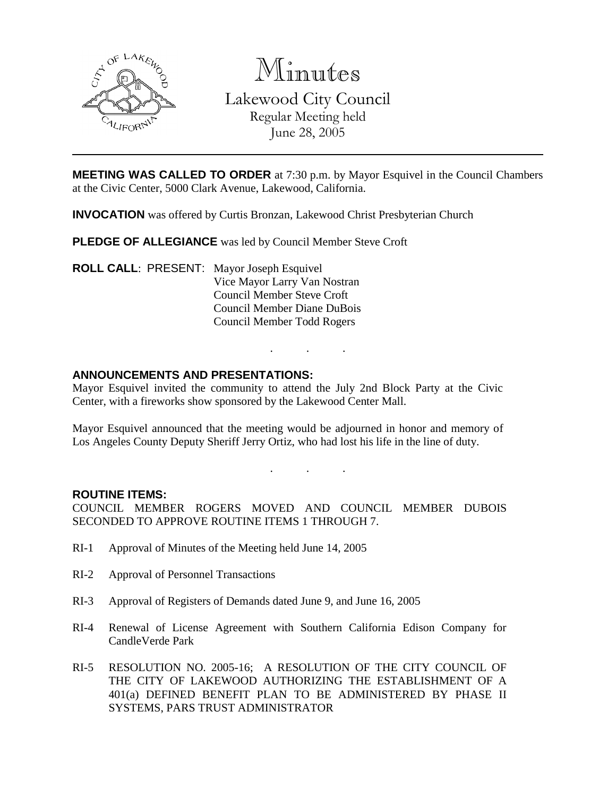

Minutes Lakewood City Council Regular Meeting held June 28, 2005

**MEETING WAS CALLED TO ORDER** at 7:30 p.m. by Mayor Esquivel in the Council Chambers at the Civic Center, 5000 Clark Avenue, Lakewood, California.

**INVOCATION** was offered by Curtis Bronzan, Lakewood Christ Presbyterian Church

**PLEDGE OF ALLEGIANCE** was led by Council Member Steve Croft

**ROLL CALL**: PRESENT: Mayor Joseph Esquivel Vice Mayor Larry Van Nostran Council Member Steve Croft Council Member Diane DuBois Council Member Todd Rogers

### **ANNOUNCEMENTS AND PRESENTATIONS:**

Mayor Esquivel invited the community to attend the July 2nd Block Party at the Civic Center, with a fireworks show sponsored by the Lakewood Center Mall.

Mayor Esquivel announced that the meeting would be adjourned in honor and memory of Los Angeles County Deputy Sheriff Jerry Ortiz, who had lost his life in the line of duty.

. . .

. . .

#### **ROUTINE ITEMS:**

COUNCIL MEMBER ROGERS MOVED AND COUNCIL MEMBER DUBOIS SECONDED TO APPROVE ROUTINE ITEMS 1 THROUGH 7.

- RI-1 Approval of Minutes of the Meeting held June 14, 2005
- RI-2 Approval of Personnel Transactions
- RI-3 Approval of Registers of Demands dated June 9, and June 16, 2005
- RI-4 Renewal of License Agreement with Southern California Edison Company for CandleVerde Park
- RI-5 RESOLUTION NO. 2005-16; A RESOLUTION OF THE CITY COUNCIL OF THE CITY OF LAKEWOOD AUTHORIZING THE ESTABLISHMENT OF A 401(a) DEFINED BENEFIT PLAN TO BE ADMINISTERED BY PHASE II SYSTEMS, PARS TRUST ADMINISTRATOR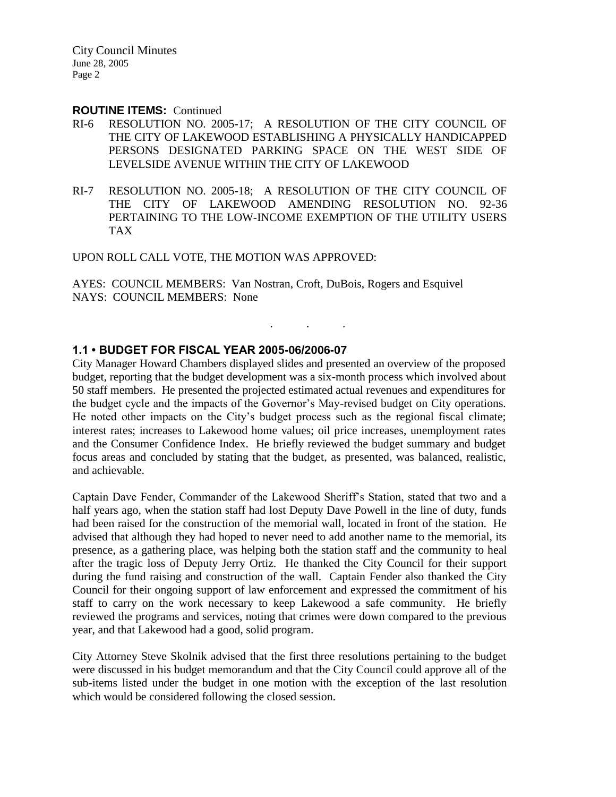#### **ROUTINE ITEMS:** Continued

- RI-6 RESOLUTION NO. 2005-17; A RESOLUTION OF THE CITY COUNCIL OF THE CITY OF LAKEWOOD ESTABLISHING A PHYSICALLY HANDICAPPED PERSONS DESIGNATED PARKING SPACE ON THE WEST SIDE OF LEVELSIDE AVENUE WITHIN THE CITY OF LAKEWOOD
- RI-7 RESOLUTION NO. 2005-18; A RESOLUTION OF THE CITY COUNCIL OF THE CITY OF LAKEWOOD AMENDING RESOLUTION NO. 92-36 PERTAINING TO THE LOW-INCOME EXEMPTION OF THE UTILITY USERS TAX

UPON ROLL CALL VOTE, THE MOTION WAS APPROVED:

AYES: COUNCIL MEMBERS: Van Nostran, Croft, DuBois, Rogers and Esquivel NAYS: COUNCIL MEMBERS: None

### **1.1 • BUDGET FOR FISCAL YEAR 2005-06/2006-07**

City Manager Howard Chambers displayed slides and presented an overview of the proposed budget, reporting that the budget development was a six-month process which involved about 50 staff members. He presented the projected estimated actual revenues and expenditures for the budget cycle and the impacts of the Governor's May-revised budget on City operations. He noted other impacts on the City's budget process such as the regional fiscal climate; interest rates; increases to Lakewood home values; oil price increases, unemployment rates and the Consumer Confidence Index. He briefly reviewed the budget summary and budget focus areas and concluded by stating that the budget, as presented, was balanced, realistic, and achievable.

. . .

Captain Dave Fender, Commander of the Lakewood Sheriff's Station, stated that two and a half years ago, when the station staff had lost Deputy Dave Powell in the line of duty, funds had been raised for the construction of the memorial wall, located in front of the station. He advised that although they had hoped to never need to add another name to the memorial, its presence, as a gathering place, was helping both the station staff and the community to heal after the tragic loss of Deputy Jerry Ortiz. He thanked the City Council for their support during the fund raising and construction of the wall. Captain Fender also thanked the City Council for their ongoing support of law enforcement and expressed the commitment of his staff to carry on the work necessary to keep Lakewood a safe community. He briefly reviewed the programs and services, noting that crimes were down compared to the previous year, and that Lakewood had a good, solid program.

City Attorney Steve Skolnik advised that the first three resolutions pertaining to the budget were discussed in his budget memorandum and that the City Council could approve all of the sub-items listed under the budget in one motion with the exception of the last resolution which would be considered following the closed session.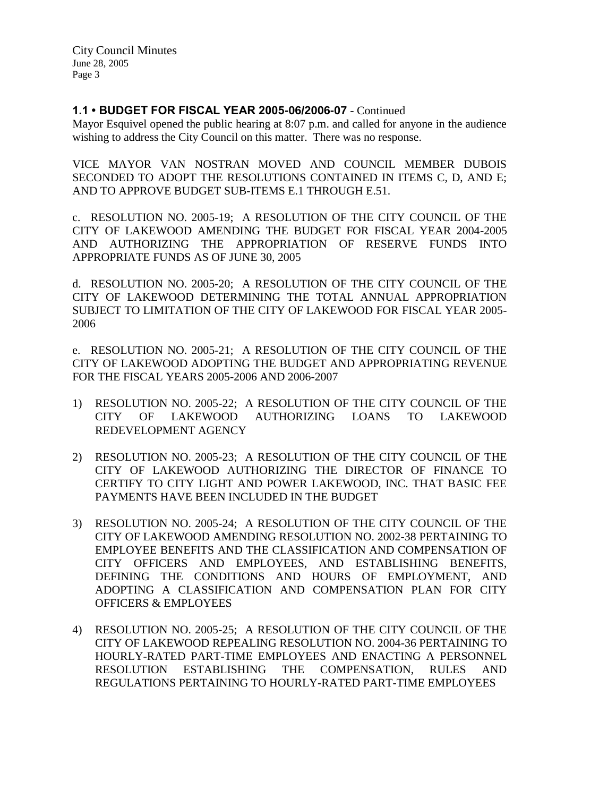## **1.1 • BUDGET FOR FISCAL YEAR 2005-06/2006-07** - Continued

Mayor Esquivel opened the public hearing at 8:07 p.m. and called for anyone in the audience wishing to address the City Council on this matter. There was no response.

VICE MAYOR VAN NOSTRAN MOVED AND COUNCIL MEMBER DUBOIS SECONDED TO ADOPT THE RESOLUTIONS CONTAINED IN ITEMS C, D, AND E; AND TO APPROVE BUDGET SUB-ITEMS E.1 THROUGH E.51.

c. RESOLUTION NO. 2005-19; A RESOLUTION OF THE CITY COUNCIL OF THE CITY OF LAKEWOOD AMENDING THE BUDGET FOR FISCAL YEAR 2004-2005 AND AUTHORIZING THE APPROPRIATION OF RESERVE FUNDS INTO APPROPRIATE FUNDS AS OF JUNE 30, 2005

d. RESOLUTION NO. 2005-20; A RESOLUTION OF THE CITY COUNCIL OF THE CITY OF LAKEWOOD DETERMINING THE TOTAL ANNUAL APPROPRIATION SUBJECT TO LIMITATION OF THE CITY OF LAKEWOOD FOR FISCAL YEAR 2005- 2006

e. RESOLUTION NO. 2005-21; A RESOLUTION OF THE CITY COUNCIL OF THE CITY OF LAKEWOOD ADOPTING THE BUDGET AND APPROPRIATING REVENUE FOR THE FISCAL YEARS 2005-2006 AND 2006-2007

- 1) RESOLUTION NO. 2005-22; A RESOLUTION OF THE CITY COUNCIL OF THE CITY OF LAKEWOOD AUTHORIZING LOANS TO LAKEWOOD REDEVELOPMENT AGENCY
- 2) RESOLUTION NO. 2005-23; A RESOLUTION OF THE CITY COUNCIL OF THE CITY OF LAKEWOOD AUTHORIZING THE DIRECTOR OF FINANCE TO CERTIFY TO CITY LIGHT AND POWER LAKEWOOD, INC. THAT BASIC FEE PAYMENTS HAVE BEEN INCLUDED IN THE BUDGET
- 3) RESOLUTION NO. 2005-24; A RESOLUTION OF THE CITY COUNCIL OF THE CITY OF LAKEWOOD AMENDING RESOLUTION NO. 2002-38 PERTAINING TO EMPLOYEE BENEFITS AND THE CLASSIFICATION AND COMPENSATION OF CITY OFFICERS AND EMPLOYEES, AND ESTABLISHING BENEFITS, DEFINING THE CONDITIONS AND HOURS OF EMPLOYMENT, AND ADOPTING A CLASSIFICATION AND COMPENSATION PLAN FOR CITY OFFICERS & EMPLOYEES
- 4) RESOLUTION NO. 2005-25; A RESOLUTION OF THE CITY COUNCIL OF THE CITY OF LAKEWOOD REPEALING RESOLUTION NO. 2004-36 PERTAINING TO HOURLY-RATED PART-TIME EMPLOYEES AND ENACTING A PERSONNEL RESOLUTION ESTABLISHING THE COMPENSATION, RULES AND REGULATIONS PERTAINING TO HOURLY-RATED PART-TIME EMPLOYEES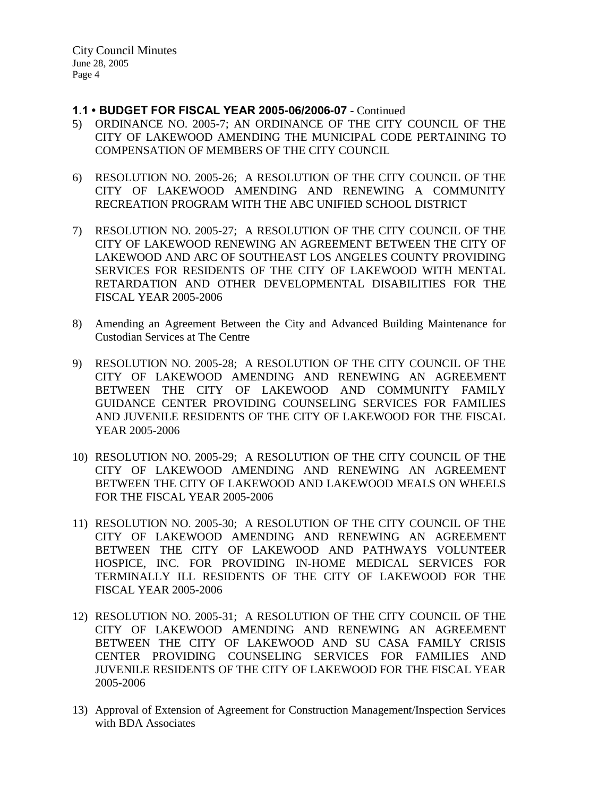## **1.1 • BUDGET FOR FISCAL YEAR 2005-06/2006-07** - Continued

- 5) ORDINANCE NO. 2005-7; AN ORDINANCE OF THE CITY COUNCIL OF THE CITY OF LAKEWOOD AMENDING THE MUNICIPAL CODE PERTAINING TO COMPENSATION OF MEMBERS OF THE CITY COUNCIL
- 6) RESOLUTION NO. 2005-26; A RESOLUTION OF THE CITY COUNCIL OF THE CITY OF LAKEWOOD AMENDING AND RENEWING A COMMUNITY RECREATION PROGRAM WITH THE ABC UNIFIED SCHOOL DISTRICT
- 7) RESOLUTION NO. 2005-27; A RESOLUTION OF THE CITY COUNCIL OF THE CITY OF LAKEWOOD RENEWING AN AGREEMENT BETWEEN THE CITY OF LAKEWOOD AND ARC OF SOUTHEAST LOS ANGELES COUNTY PROVIDING SERVICES FOR RESIDENTS OF THE CITY OF LAKEWOOD WITH MENTAL RETARDATION AND OTHER DEVELOPMENTAL DISABILITIES FOR THE FISCAL YEAR 2005-2006
- 8) Amending an Agreement Between the City and Advanced Building Maintenance for Custodian Services at The Centre
- 9) RESOLUTION NO. 2005-28; A RESOLUTION OF THE CITY COUNCIL OF THE CITY OF LAKEWOOD AMENDING AND RENEWING AN AGREEMENT BETWEEN THE CITY OF LAKEWOOD AND COMMUNITY FAMILY GUIDANCE CENTER PROVIDING COUNSELING SERVICES FOR FAMILIES AND JUVENILE RESIDENTS OF THE CITY OF LAKEWOOD FOR THE FISCAL YEAR 2005-2006
- 10) RESOLUTION NO. 2005-29; A RESOLUTION OF THE CITY COUNCIL OF THE CITY OF LAKEWOOD AMENDING AND RENEWING AN AGREEMENT BETWEEN THE CITY OF LAKEWOOD AND LAKEWOOD MEALS ON WHEELS FOR THE FISCAL YEAR 2005-2006
- 11) RESOLUTION NO. 2005-30; A RESOLUTION OF THE CITY COUNCIL OF THE CITY OF LAKEWOOD AMENDING AND RENEWING AN AGREEMENT BETWEEN THE CITY OF LAKEWOOD AND PATHWAYS VOLUNTEER HOSPICE, INC. FOR PROVIDING IN-HOME MEDICAL SERVICES FOR TERMINALLY ILL RESIDENTS OF THE CITY OF LAKEWOOD FOR THE FISCAL YEAR 2005-2006
- 12) RESOLUTION NO. 2005-31; A RESOLUTION OF THE CITY COUNCIL OF THE CITY OF LAKEWOOD AMENDING AND RENEWING AN AGREEMENT BETWEEN THE CITY OF LAKEWOOD AND SU CASA FAMILY CRISIS CENTER PROVIDING COUNSELING SERVICES FOR FAMILIES AND JUVENILE RESIDENTS OF THE CITY OF LAKEWOOD FOR THE FISCAL YEAR 2005-2006
- 13) Approval of Extension of Agreement for Construction Management/Inspection Services with BDA Associates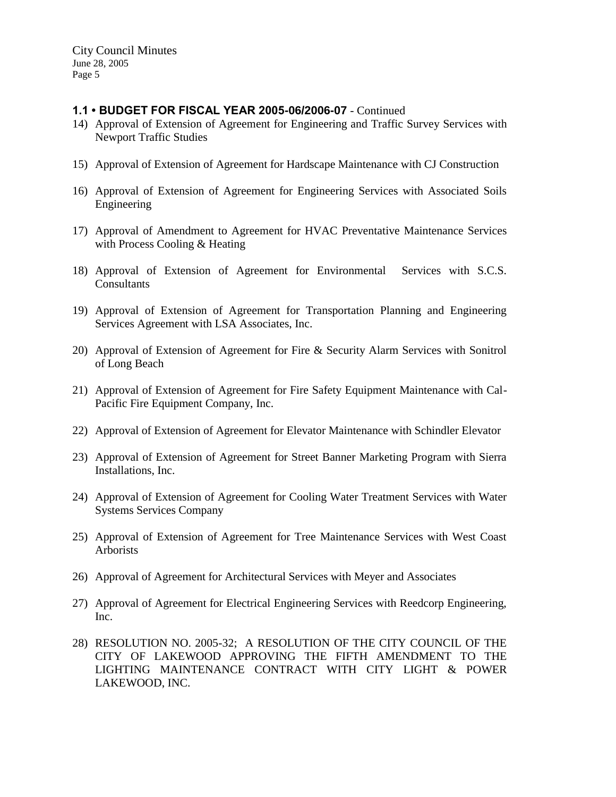# **1.1 • BUDGET FOR FISCAL YEAR 2005-06/2006-07** - Continued

- 14) Approval of Extension of Agreement for Engineering and Traffic Survey Services with Newport Traffic Studies
- 15) Approval of Extension of Agreement for Hardscape Maintenance with CJ Construction
- 16) Approval of Extension of Agreement for Engineering Services with Associated Soils Engineering
- 17) Approval of Amendment to Agreement for HVAC Preventative Maintenance Services with Process Cooling & Heating
- 18) Approval of Extension of Agreement for Environmental Services with S.C.S. Consultants
- 19) Approval of Extension of Agreement for Transportation Planning and Engineering Services Agreement with LSA Associates, Inc.
- 20) Approval of Extension of Agreement for Fire & Security Alarm Services with Sonitrol of Long Beach
- 21) Approval of Extension of Agreement for Fire Safety Equipment Maintenance with Cal-Pacific Fire Equipment Company, Inc.
- 22) Approval of Extension of Agreement for Elevator Maintenance with Schindler Elevator
- 23) Approval of Extension of Agreement for Street Banner Marketing Program with Sierra Installations, Inc.
- 24) Approval of Extension of Agreement for Cooling Water Treatment Services with Water Systems Services Company
- 25) Approval of Extension of Agreement for Tree Maintenance Services with West Coast Arborists
- 26) Approval of Agreement for Architectural Services with Meyer and Associates
- 27) Approval of Agreement for Electrical Engineering Services with Reedcorp Engineering, Inc.
- 28) RESOLUTION NO. 2005-32; A RESOLUTION OF THE CITY COUNCIL OF THE CITY OF LAKEWOOD APPROVING THE FIFTH AMENDMENT TO THE LIGHTING MAINTENANCE CONTRACT WITH CITY LIGHT & POWER LAKEWOOD, INC.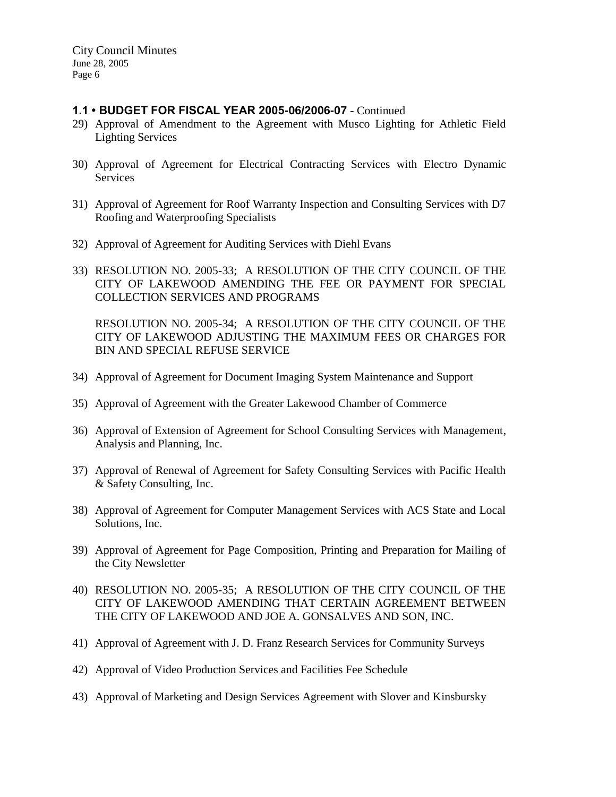# **1.1 • BUDGET FOR FISCAL YEAR 2005-06/2006-07** - Continued

- 29) Approval of Amendment to the Agreement with Musco Lighting for Athletic Field Lighting Services
- 30) Approval of Agreement for Electrical Contracting Services with Electro Dynamic Services
- 31) Approval of Agreement for Roof Warranty Inspection and Consulting Services with D7 Roofing and Waterproofing Specialists
- 32) Approval of Agreement for Auditing Services with Diehl Evans
- 33) RESOLUTION NO. 2005-33; A RESOLUTION OF THE CITY COUNCIL OF THE CITY OF LAKEWOOD AMENDING THE FEE OR PAYMENT FOR SPECIAL COLLECTION SERVICES AND PROGRAMS

RESOLUTION NO. 2005-34; A RESOLUTION OF THE CITY COUNCIL OF THE CITY OF LAKEWOOD ADJUSTING THE MAXIMUM FEES OR CHARGES FOR BIN AND SPECIAL REFUSE SERVICE

- 34) Approval of Agreement for Document Imaging System Maintenance and Support
- 35) Approval of Agreement with the Greater Lakewood Chamber of Commerce
- 36) Approval of Extension of Agreement for School Consulting Services with Management, Analysis and Planning, Inc.
- 37) Approval of Renewal of Agreement for Safety Consulting Services with Pacific Health & Safety Consulting, Inc.
- 38) Approval of Agreement for Computer Management Services with ACS State and Local Solutions, Inc.
- 39) Approval of Agreement for Page Composition, Printing and Preparation for Mailing of the City Newsletter
- 40) RESOLUTION NO. 2005-35; A RESOLUTION OF THE CITY COUNCIL OF THE CITY OF LAKEWOOD AMENDING THAT CERTAIN AGREEMENT BETWEEN THE CITY OF LAKEWOOD AND JOE A. GONSALVES AND SON, INC.
- 41) Approval of Agreement with J. D. Franz Research Services for Community Surveys
- 42) Approval of Video Production Services and Facilities Fee Schedule
- 43) Approval of Marketing and Design Services Agreement with Slover and Kinsbursky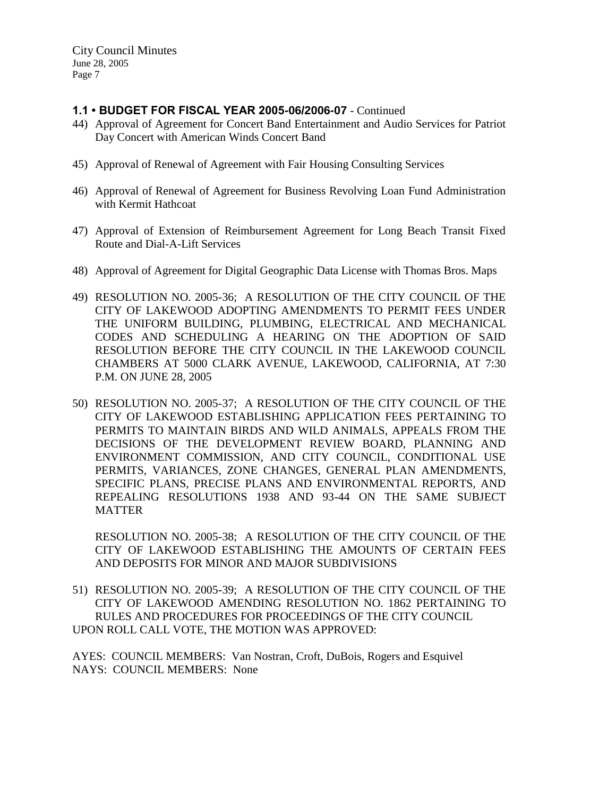## **1.1 • BUDGET FOR FISCAL YEAR 2005-06/2006-07** - Continued

- 44) Approval of Agreement for Concert Band Entertainment and Audio Services for Patriot Day Concert with American Winds Concert Band
- 45) Approval of Renewal of Agreement with Fair Housing Consulting Services
- 46) Approval of Renewal of Agreement for Business Revolving Loan Fund Administration with Kermit Hathcoat
- 47) Approval of Extension of Reimbursement Agreement for Long Beach Transit Fixed Route and Dial-A-Lift Services
- 48) Approval of Agreement for Digital Geographic Data License with Thomas Bros. Maps
- 49) RESOLUTION NO. 2005-36; A RESOLUTION OF THE CITY COUNCIL OF THE CITY OF LAKEWOOD ADOPTING AMENDMENTS TO PERMIT FEES UNDER THE UNIFORM BUILDING, PLUMBING, ELECTRICAL AND MECHANICAL CODES AND SCHEDULING A HEARING ON THE ADOPTION OF SAID RESOLUTION BEFORE THE CITY COUNCIL IN THE LAKEWOOD COUNCIL CHAMBERS AT 5000 CLARK AVENUE, LAKEWOOD, CALIFORNIA, AT 7:30 P.M. ON JUNE 28, 2005
- 50) RESOLUTION NO. 2005-37; A RESOLUTION OF THE CITY COUNCIL OF THE CITY OF LAKEWOOD ESTABLISHING APPLICATION FEES PERTAINING TO PERMITS TO MAINTAIN BIRDS AND WILD ANIMALS, APPEALS FROM THE DECISIONS OF THE DEVELOPMENT REVIEW BOARD, PLANNING AND ENVIRONMENT COMMISSION, AND CITY COUNCIL, CONDITIONAL USE PERMITS, VARIANCES, ZONE CHANGES, GENERAL PLAN AMENDMENTS, SPECIFIC PLANS, PRECISE PLANS AND ENVIRONMENTAL REPORTS, AND REPEALING RESOLUTIONS 1938 AND 93-44 ON THE SAME SUBJECT MATTER

RESOLUTION NO. 2005-38; A RESOLUTION OF THE CITY COUNCIL OF THE CITY OF LAKEWOOD ESTABLISHING THE AMOUNTS OF CERTAIN FEES AND DEPOSITS FOR MINOR AND MAJOR SUBDIVISIONS

51) RESOLUTION NO. 2005-39; A RESOLUTION OF THE CITY COUNCIL OF THE CITY OF LAKEWOOD AMENDING RESOLUTION NO. 1862 PERTAINING TO RULES AND PROCEDURES FOR PROCEEDINGS OF THE CITY COUNCIL UPON ROLL CALL VOTE, THE MOTION WAS APPROVED:

AYES: COUNCIL MEMBERS: Van Nostran, Croft, DuBois, Rogers and Esquivel NAYS: COUNCIL MEMBERS: None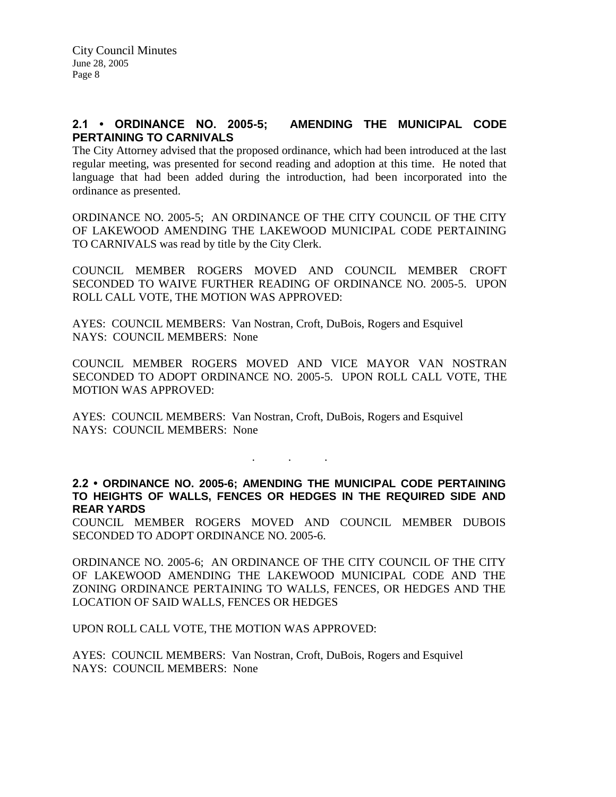# **2.1 • ORDINANCE NO. 2005-5; AMENDING THE MUNICIPAL CODE PERTAINING TO CARNIVALS**

The City Attorney advised that the proposed ordinance, which had been introduced at the last regular meeting, was presented for second reading and adoption at this time. He noted that language that had been added during the introduction, had been incorporated into the ordinance as presented.

ORDINANCE NO. 2005-5; AN ORDINANCE OF THE CITY COUNCIL OF THE CITY OF LAKEWOOD AMENDING THE LAKEWOOD MUNICIPAL CODE PERTAINING TO CARNIVALS was read by title by the City Clerk.

COUNCIL MEMBER ROGERS MOVED AND COUNCIL MEMBER CROFT SECONDED TO WAIVE FURTHER READING OF ORDINANCE NO. 2005-5. UPON ROLL CALL VOTE, THE MOTION WAS APPROVED:

AYES: COUNCIL MEMBERS: Van Nostran, Croft, DuBois, Rogers and Esquivel NAYS: COUNCIL MEMBERS: None

COUNCIL MEMBER ROGERS MOVED AND VICE MAYOR VAN NOSTRAN SECONDED TO ADOPT ORDINANCE NO. 2005-5. UPON ROLL CALL VOTE, THE MOTION WAS APPROVED:

AYES: COUNCIL MEMBERS: Van Nostran, Croft, DuBois, Rogers and Esquivel NAYS: COUNCIL MEMBERS: None

. . .

**2.2 • ORDINANCE NO. 2005-6; AMENDING THE MUNICIPAL CODE PERTAINING TO HEIGHTS OF WALLS, FENCES OR HEDGES IN THE REQUIRED SIDE AND REAR YARDS**

COUNCIL MEMBER ROGERS MOVED AND COUNCIL MEMBER DUBOIS SECONDED TO ADOPT ORDINANCE NO. 2005-6.

ORDINANCE NO. 2005-6; AN ORDINANCE OF THE CITY COUNCIL OF THE CITY OF LAKEWOOD AMENDING THE LAKEWOOD MUNICIPAL CODE AND THE ZONING ORDINANCE PERTAINING TO WALLS, FENCES, OR HEDGES AND THE LOCATION OF SAID WALLS, FENCES OR HEDGES

UPON ROLL CALL VOTE, THE MOTION WAS APPROVED:

AYES: COUNCIL MEMBERS: Van Nostran, Croft, DuBois, Rogers and Esquivel NAYS: COUNCIL MEMBERS: None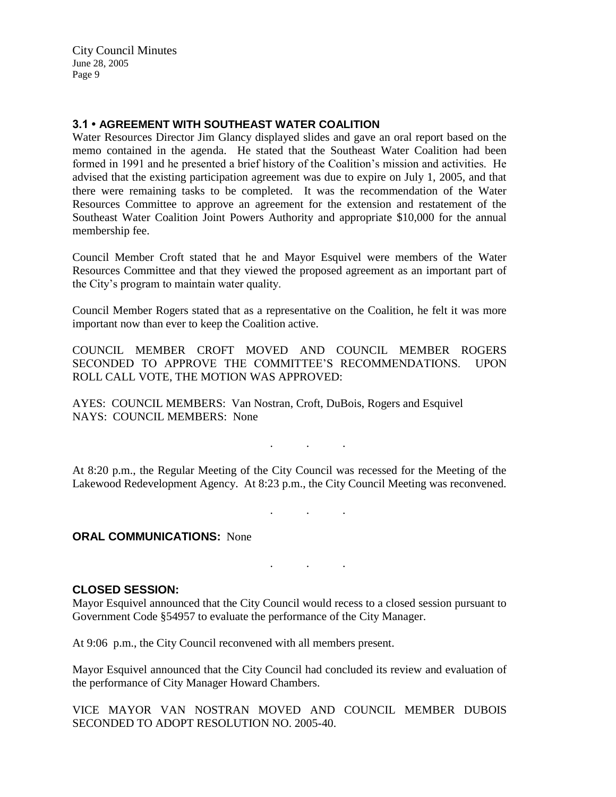## **3.1 • AGREEMENT WITH SOUTHEAST WATER COALITION**

Water Resources Director Jim Glancy displayed slides and gave an oral report based on the memo contained in the agenda. He stated that the Southeast Water Coalition had been formed in 1991 and he presented a brief history of the Coalition's mission and activities. He advised that the existing participation agreement was due to expire on July 1, 2005, and that there were remaining tasks to be completed. It was the recommendation of the Water Resources Committee to approve an agreement for the extension and restatement of the Southeast Water Coalition Joint Powers Authority and appropriate \$10,000 for the annual membership fee.

Council Member Croft stated that he and Mayor Esquivel were members of the Water Resources Committee and that they viewed the proposed agreement as an important part of the City's program to maintain water quality.

Council Member Rogers stated that as a representative on the Coalition, he felt it was more important now than ever to keep the Coalition active.

COUNCIL MEMBER CROFT MOVED AND COUNCIL MEMBER ROGERS SECONDED TO APPROVE THE COMMITTEE'S RECOMMENDATIONS. UPON ROLL CALL VOTE, THE MOTION WAS APPROVED:

AYES: COUNCIL MEMBERS: Van Nostran, Croft, DuBois, Rogers and Esquivel NAYS: COUNCIL MEMBERS: None

. . .

At 8:20 p.m., the Regular Meeting of the City Council was recessed for the Meeting of the Lakewood Redevelopment Agency. At 8:23 p.m., the City Council Meeting was reconvened.

. . .

. . .

#### **ORAL COMMUNICATIONS: None**

#### **CLOSED SESSION:**

Mayor Esquivel announced that the City Council would recess to a closed session pursuant to Government Code §54957 to evaluate the performance of the City Manager.

At 9:06 p.m., the City Council reconvened with all members present.

Mayor Esquivel announced that the City Council had concluded its review and evaluation of the performance of City Manager Howard Chambers.

VICE MAYOR VAN NOSTRAN MOVED AND COUNCIL MEMBER DUBOIS SECONDED TO ADOPT RESOLUTION NO. 2005-40.